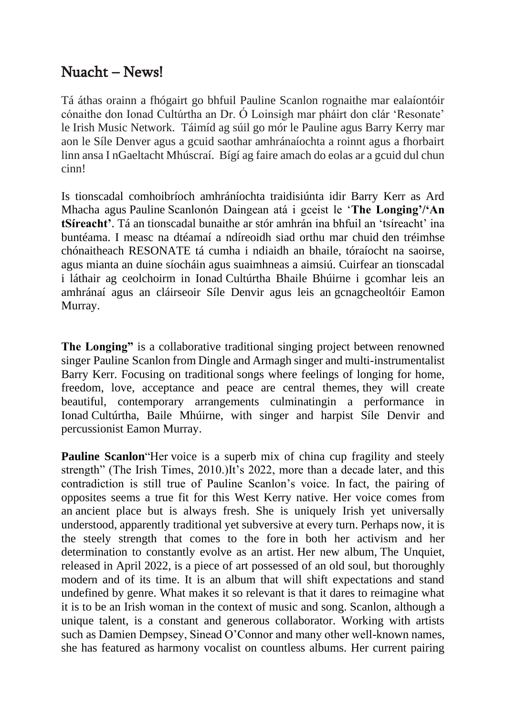## Nuacht – News!

Tá áthas orainn a fhógairt go bhfuil Pauline Scanlon rognaithe mar ealaíontóir cónaithe don Ionad Cultúrtha an Dr. Ó Loinsigh mar pháirt don clár 'Resonate' le Irish Music Network. Táimíd ag súil go mór le Pauline agus Barry Kerry mar aon le Síle Denver agus a gcuid saothar amhránaíochta a roinnt agus a fhorbairt linn ansa I nGaeltacht Mhúscraí. Bígí ag faire amach do eolas ar a gcuid dul chun cinn!

Is tionscadal comhoibríoch amhráníochta traidisiúnta idir Barry Kerr as Ard Mhacha agus Pauline Scanlonón Daingean atá i gceist le '**The Longing'/'An tSíreacht'**. Tá an tionscadal bunaithe ar stór amhrán ina bhfuil an 'tsíreacht' ina buntéama. I measc na dtéamaí a ndíreoidh siad orthu mar chuid den tréimhse chónaitheach RESONATE tá cumha i ndiaidh an bhaile, tóraíocht na saoirse, agus mianta an duine síocháin agus suaimhneas a aimsiú. Cuirfear an tionscadal i láthair ag ceolchoirm in Ionad Cultúrtha Bhaile Bhúirne i gcomhar leis an amhránaí agus an cláirseoir Síle Denvir agus leis an gcnagcheoltóir Eamon Murray.

**The Longing"** is a collaborative traditional singing project between renowned singer Pauline Scanlon from Dingle and Armagh singer and multi-instrumentalist Barry Kerr. Focusing on traditional songs where feelings of longing for home, freedom, love, acceptance and peace are central themes, they will create beautiful, contemporary arrangements culminatingin a performance in Ionad Cultúrtha, Baile Mhúirne, with singer and harpist Síle Denvir and percussionist Eamon Murray.

**Pauline Scanlon** Her voice is a superb mix of china cup fragility and steely strength" (The Irish Times, 2010.)It's 2022, more than a decade later, and this contradiction is still true of Pauline Scanlon's voice. In fact, the pairing of opposites seems a true fit for this West Kerry native. Her voice comes from an ancient place but is always fresh. She is uniquely Irish yet universally understood, apparently traditional yet subversive at every turn. Perhaps now, it is the steely strength that comes to the fore in both her activism and her determination to constantly evolve as an artist. Her new album, The Unquiet, released in April 2022, is a piece of art possessed of an old soul, but thoroughly modern and of its time. It is an album that will shift expectations and stand undefined by genre. What makes it so relevant is that it dares to reimagine what it is to be an Irish woman in the context of music and song. Scanlon, although a unique talent, is a constant and generous collaborator. Working with artists such as Damien Dempsey, Sinead O'Connor and many other well-known names, she has featured as harmony vocalist on countless albums. Her current pairing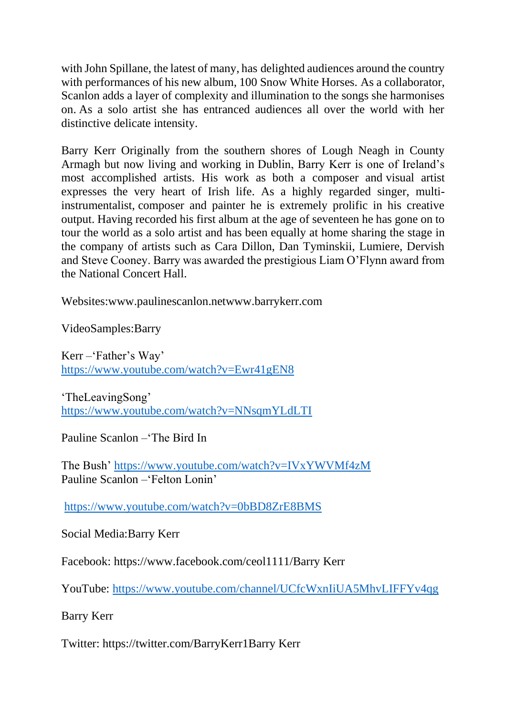with John Spillane, the latest of many, has delighted audiences around the country with performances of his new album, 100 Snow White Horses. As a collaborator, Scanlon adds a layer of complexity and illumination to the songs she harmonises on. As a solo artist she has entranced audiences all over the world with her distinctive delicate intensity.

Barry Kerr Originally from the southern shores of Lough Neagh in County Armagh but now living and working in Dublin, Barry Kerr is one of Ireland's most accomplished artists. His work as both a composer and visual artist expresses the very heart of Irish life. As a highly regarded singer, multiinstrumentalist, composer and painter he is extremely prolific in his creative output. Having recorded his first album at the age of seventeen he has gone on to tour the world as a solo artist and has been equally at home sharing the stage in the company of artists such as Cara Dillon, Dan Tyminskii, Lumiere, Dervish and Steve Cooney. Barry was awarded the prestigious Liam O'Flynn award from the National Concert Hall.

Websites:www.paulinescanlon.netwww.barrykerr.com

VideoSamples:Barry

Kerr –'Father's Way' <https://www.youtube.com/watch?v=Ewr41gEN8>

'TheLeavingSong' <https://www.youtube.com/watch?v=NNsqmYLdLTI>

Pauline Scanlon –'The Bird In

The Bush' <https://www.youtube.com/watch?v=IVxYWVMf4zM> Pauline Scanlon –'Felton Lonin'

<https://www.youtube.com/watch?v=0bBD8ZrE8BMS>

Social Media:Barry Kerr

Facebook: https://www.facebook.com/ceol1111/Barry Kerr

YouTube: <https://www.youtube.com/channel/UCfcWxnIiUA5MhvLIFFYv4qg>

Barry Kerr

Twitter: https://twitter.com/BarryKerr1Barry Kerr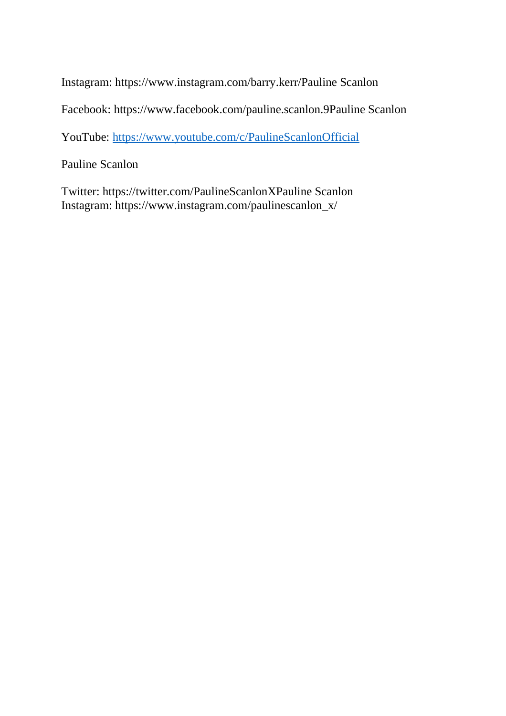Instagram: https://www.instagram.com/barry.kerr/Pauline Scanlon

Facebook: https://www.facebook.com/pauline.scanlon.9Pauline Scanlon

YouTube: <https://www.youtube.com/c/PaulineScanlonOfficial>

Pauline Scanlon

Twitter: https://twitter.com/PaulineScanlonXPauline Scanlon Instagram: https://www.instagram.com/paulinescanlon\_x/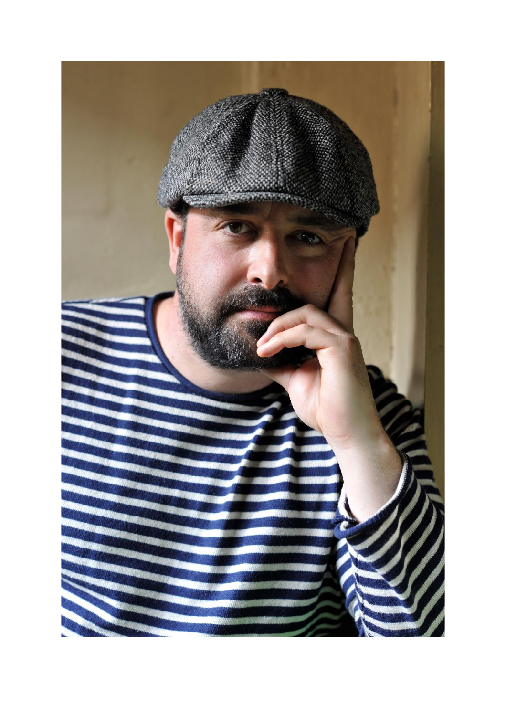